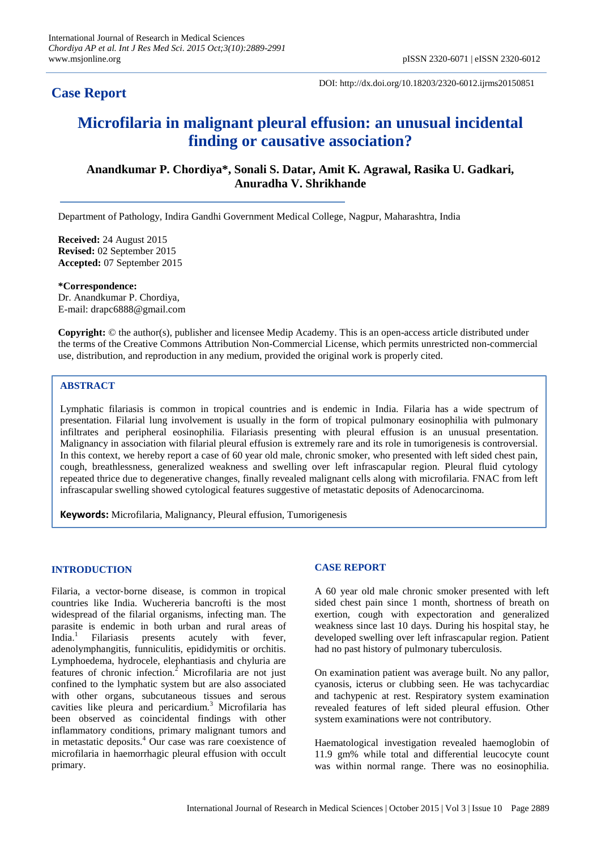## **Case Report**

DOI: http://dx.doi.org/10.18203/2320-6012.ijrms20150851

# **Microfilaria in malignant pleural effusion: an unusual incidental finding or causative association?**

## **Anandkumar P. Chordiya\*, Sonali S. Datar, Amit K. Agrawal, Rasika U. Gadkari, Anuradha V. Shrikhande**

Department of Pathology, Indira Gandhi Government Medical College, Nagpur, Maharashtra, India

**Received:** 24 August 2015 **Revised:** 02 September 2015 **Accepted:** 07 September 2015

**\*Correspondence:** Dr. Anandkumar P. Chordiya, E-mail: drapc6888@gmail.com

**Copyright:** © the author(s), publisher and licensee Medip Academy. This is an open-access article distributed under the terms of the Creative Commons Attribution Non-Commercial License, which permits unrestricted non-commercial use, distribution, and reproduction in any medium, provided the original work is properly cited.

#### **ABSTRACT**

Lymphatic filariasis is common in tropical countries and is endemic in India. Filaria has a wide spectrum of presentation. Filarial lung involvement is usually in the form of tropical pulmonary eosinophilia with pulmonary infiltrates and peripheral eosinophilia. Filariasis presenting with pleural effusion is an unusual presentation. Malignancy in association with filarial pleural effusion is extremely rare and its role in tumorigenesis is controversial. In this context, we hereby report a case of 60 year old male, chronic smoker, who presented with left sided chest pain, cough, breathlessness, generalized weakness and swelling over left infrascapular region. Pleural fluid cytology repeated thrice due to degenerative changes, finally revealed malignant cells along with microfilaria. FNAC from left infrascapular swelling showed cytological features suggestive of metastatic deposits of Adenocarcinoma.

**Keywords:** Microfilaria, Malignancy, Pleural effusion, Tumorigenesis

#### **INTRODUCTION**

Filaria, a vector-borne disease, is common in tropical countries like India. Wuchereria bancrofti is the most widespread of the filarial organisms, infecting man. The parasite is endemic in both urban and rural areas of India. $<sup>1</sup>$ </sup> Filariasis presents acutely with fever, adenolymphangitis, funniculitis, epididymitis or orchitis. Lymphoedema, hydrocele, elephantiasis and chyluria are features of chronic infection.<sup>2</sup> Microfilaria are not just confined to the lymphatic system but are also associated with other organs, subcutaneous tissues and serous cavities like pleura and pericardium.<sup>3</sup> Microfilaria has been observed as coincidental findings with other inflammatory conditions, primary malignant tumors and in metastatic deposits.<sup>4</sup> Our case was rare coexistence of microfilaria in haemorrhagic pleural effusion with occult primary.

#### **CASE REPORT**

A 60 year old male chronic smoker presented with left sided chest pain since 1 month, shortness of breath on exertion, cough with expectoration and generalized weakness since last 10 days. During his hospital stay, he developed swelling over left infrascapular region. Patient had no past history of pulmonary tuberculosis.

On examination patient was average built. No any pallor, cyanosis, icterus or clubbing seen. He was tachycardiac and tachypenic at rest. Respiratory system examination revealed features of left sided pleural effusion. Other system examinations were not contributory.

Haematological investigation revealed haemoglobin of 11.9 gm% while total and differential leucocyte count was within normal range. There was no eosinophilia.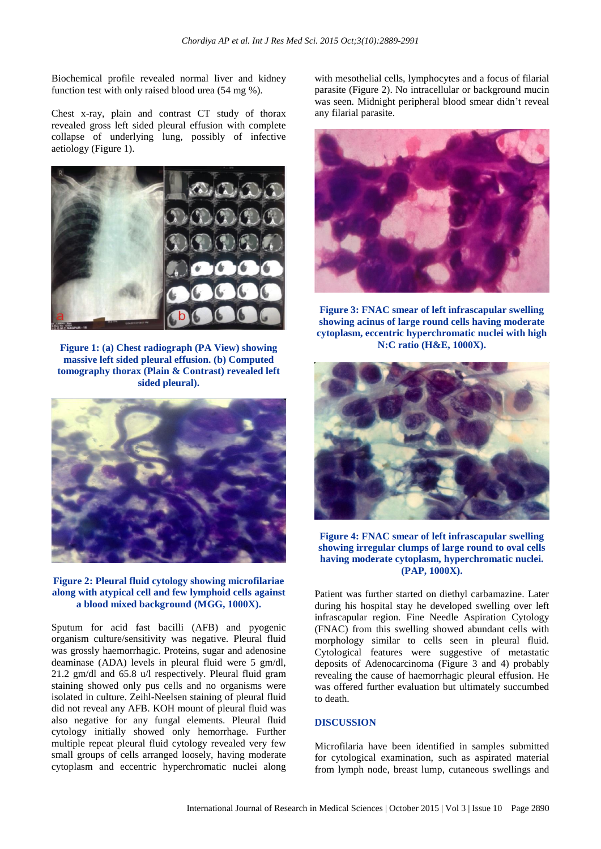Biochemical profile revealed normal liver and kidney function test with only raised blood urea (54 mg %).

Chest x-ray, plain and contrast CT study of thorax revealed gross left sided pleural effusion with complete collapse of underlying lung, possibly of infective aetiology (Figure 1).



**Figure 1: (a) Chest radiograph (PA View) showing massive left sided pleural effusion. (b) Computed tomography thorax (Plain & Contrast) revealed left sided pleural).**



**Figure 2: Pleural fluid cytology showing microfilariae along with atypical cell and few lymphoid cells against a blood mixed background (MGG, 1000X).**

Sputum for acid fast bacilli (AFB) and pyogenic organism culture/sensitivity was negative. Pleural fluid was grossly haemorrhagic. Proteins, sugar and adenosine deaminase (ADA) levels in pleural fluid were 5 gm/dl, 21.2 gm/dl and 65.8 u/l respectively. Pleural fluid gram staining showed only pus cells and no organisms were isolated in culture. Zeihl-Neelsen staining of pleural fluid did not reveal any AFB. KOH mount of pleural fluid was also negative for any fungal elements. Pleural fluid cytology initially showed only hemorrhage. Further multiple repeat pleural fluid cytology revealed very few small groups of cells arranged loosely, having moderate cytoplasm and eccentric hyperchromatic nuclei along with mesothelial cells, lymphocytes and a focus of filarial parasite (Figure 2). No intracellular or background mucin was seen. Midnight peripheral blood smear didn't reveal any filarial parasite.



**Figure 3: FNAC smear of left infrascapular swelling showing acinus of large round cells having moderate cytoplasm, eccentric hyperchromatic nuclei with high N:C ratio (H&E, 1000X).**



**Figure 4: FNAC smear of left infrascapular swelling showing irregular clumps of large round to oval cells having moderate cytoplasm, hyperchromatic nuclei. (PAP, 1000X).**

Patient was further started on diethyl carbamazine. Later during his hospital stay he developed swelling over left infrascapular region. Fine Needle Aspiration Cytology (FNAC) from this swelling showed abundant cells with morphology similar to cells seen in pleural fluid. Cytological features were suggestive of metastatic deposits of Adenocarcinoma (Figure 3 and 4) probably revealing the cause of haemorrhagic pleural effusion. He was offered further evaluation but ultimately succumbed to death.

### **DISCUSSION**

Microfilaria have been identified in samples submitted for cytological examination, such as aspirated material from lymph node, breast lump, cutaneous swellings and